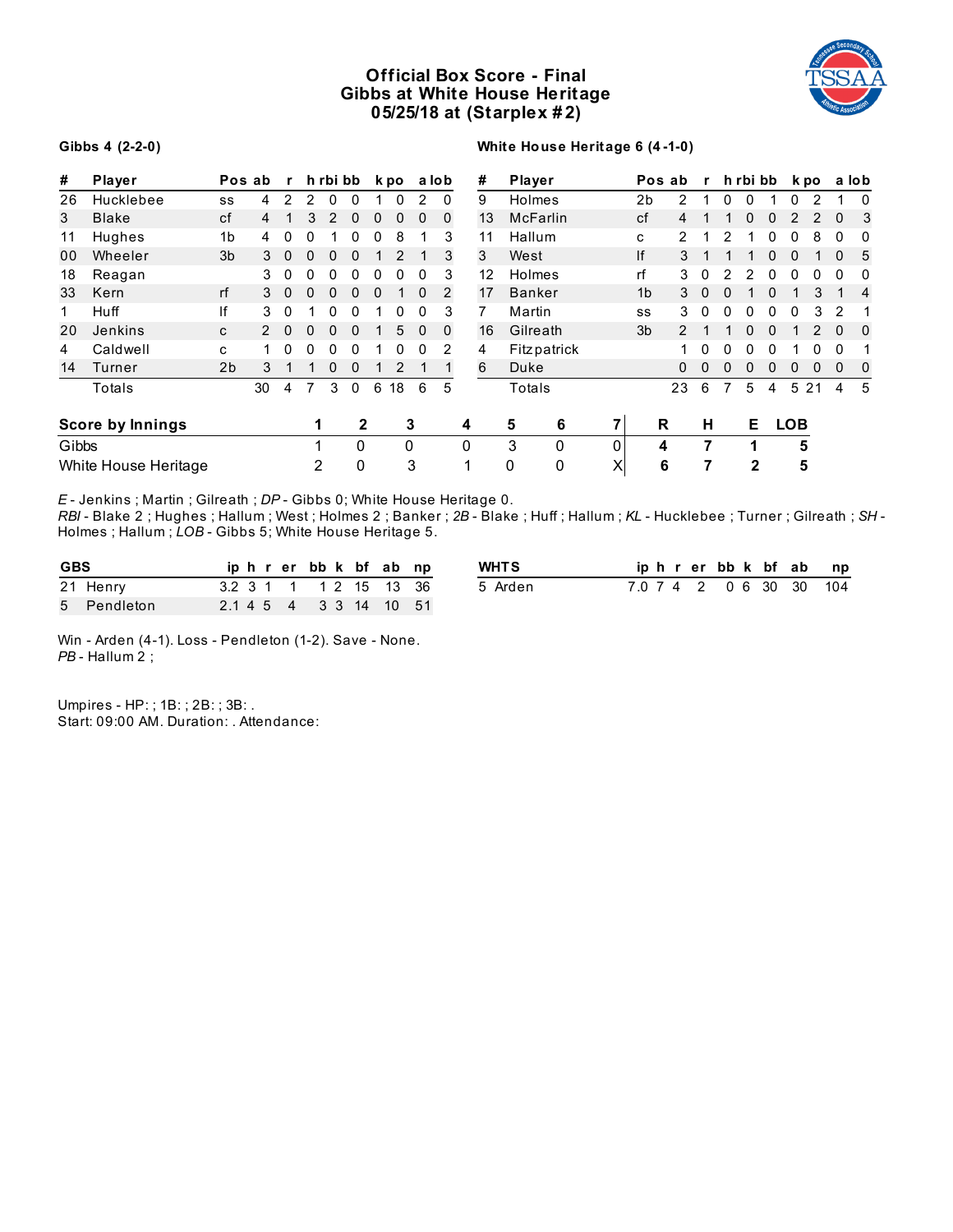# **Official Box Score - Final Gibbs at White House Heritage 05/25/18 at (Starplex # 2)**



#### **Gibbs 4 (2-2-0)**

### **White House Heritage 6 (4 -1-0)**

| #     | <b>Player</b>           |                | Pos ab | $\mathbf{r}$ |          | h rbi bb |              |   | k po         |               | a lob        |   | #  | Player        |   |                | Pos ab        | r        |              | h rbi bb     |          |               | k po  |          | a lob |
|-------|-------------------------|----------------|--------|--------------|----------|----------|--------------|---|--------------|---------------|--------------|---|----|---------------|---|----------------|---------------|----------|--------------|--------------|----------|---------------|-------|----------|-------|
| 26    | Hucklebee               | SS             | 4      | 2            | 2        | 0        |              |   |              | $\mathcal{P}$ | $\Omega$     |   | 9  | Holmes        |   | 2b             | 2             |          |              |              |          | 0             |       |          | 0     |
| 3     | <b>Blake</b>            | cf             | 4      |              | 3        | 2        | 0            | 0 | 0            | $\Omega$      | $\mathbf{0}$ |   | 13 | McFarlin      |   | cf             | 4             |          |              | 0            | 0        | $\mathcal{P}$ | 2     | 0        | 3     |
| 11    | Hughes                  | 1 <sub>b</sub> | 4      | 0            | 0        |          |              | O | 8            |               | 3            |   | 11 | Hallum        |   | C              | 2             |          | 2            |              | 0        | 0             | 8     | 0        | 0     |
| 00    | Wheeler                 | 3 <sub>b</sub> | 3      | $\mathbf{0}$ | 0        | 0        | 0            |   | 2            |               | 3            |   | 3  | West          |   | lf             | 3             |          |              |              | 0        | 0             |       | 0        | 5     |
| 18    | Reagan                  |                | 3      | 0            | 0        | 0        | 0            | 0 | 0            | 0             | 3            |   | 12 | Holmes        |   | rf             | 3             | 0        |              |              | 0        | 0             | 0     | 0        | 0     |
| 33    | Kern                    | rf             | 3      | $\Omega$     | $\Omega$ | $\Omega$ | $\Omega$     | 0 |              | $\Omega$      | 2            |   | 17 | <b>Banker</b> |   | 1 <sub>b</sub> | 3             | $\Omega$ | <sup>0</sup> |              | $\Omega$ |               | 3     |          | 4     |
| 1     | Huff                    | ١f             | 3      | $\Omega$     |          | 0        |              |   |              | 0             | 3            |   |    | Martin        |   | SS             | 3             | $\Omega$ |              |              | O        | 0             | 3     | 2        |       |
| 20    | Jenkins                 | C              |        | $\Omega$     | 0        | 0        | $\Omega$     |   | 5            | $\Omega$      | 0            |   | 16 | Gilreath      |   | 3 <sub>b</sub> | $\mathcal{P}$ |          |              | 0            | $\Omega$ |               | 2     | $\Omega$ | 0     |
| 4     | Caldwell                | C.             |        | $\Omega$     | 0        | $\Omega$ | $\Omega$     |   | <sup>0</sup> | 0             | 2            |   | 4  | Fitzpatrick   |   |                |               | $\Omega$ | <sup>0</sup> | 0            | 0        |               | U     | 0        |       |
| 14    | Turner                  | 2 <sub>b</sub> | 3      |              |          | 0        | 0            |   | 2            |               |              |   | 6  | Duke          |   |                | $\Omega$      | 0        |              | 0            | 0        | 0             | 0     | $\Omega$ | 0     |
|       | Totals                  |                | 30     | 4            |          | 3        | $\Omega$     | 6 | 18           | 6             | 5            |   |    | Totals        |   |                | 23            | 6        |              | 5            | 4        |               | 5 2 1 | 4        | 5     |
|       | <b>Score by Innings</b> |                |        |              | 1        |          | $\mathbf{2}$ |   |              | 3             |              | 4 |    | 6<br>5        |   |                | R             | н        |              | Е            |          | <b>LOB</b>    |       |          |       |
| Gibbs |                         |                |        |              |          |          | $\Omega$     |   | 0            |               |              | 0 |    | 3<br>0        | 0 |                | 4             | 7        |              |              |          | 5             |       |          |       |
|       | White House Heritage    |                |        |              | 2        |          | 0            |   |              | 3             |              | 4 |    | 0<br>0        | X |                | 6             | 7        |              | $\mathbf{2}$ |          | 5             |       |          |       |

*E* - Jenkins ; Martin ; Gilreath ; *DP* - Gibbs 0; White House Heritage 0.

*RBI* - Blake 2 ; Hughes ; Hallum ; West ; Holmes 2 ; Banker ; *2B* - Blake ; Huff ; Hallum ; *KL* - Hucklebee ; Turner ; Gilreath ; *SH* - Holmes ; Hallum ; *LOB* - Gibbs 5; White House Heritage 5.

| <b>GBS</b> |             |  |  |  |  | iphrerbbk bfabnp       | <b>WHTS</b> |  |  | iphrerbbk bfabnp        |  |  |
|------------|-------------|--|--|--|--|------------------------|-------------|--|--|-------------------------|--|--|
|            | 21 Henry    |  |  |  |  | 3.2 3 1 1 1 2 15 13 36 | 5 Arden     |  |  | 7.0 7 4 2 0 6 30 30 104 |  |  |
|            | 5 Pendleton |  |  |  |  | 2.1 4 5 4 3 3 14 10 51 |             |  |  |                         |  |  |

Win - Arden (4-1). Loss - Pendleton (1-2). Save - None. *PB* - Hallum 2 ;

Umpires - HP: ; 1B: ; 2B: ; 3B: . Start: 09:00 AM. Duration: . Attendance: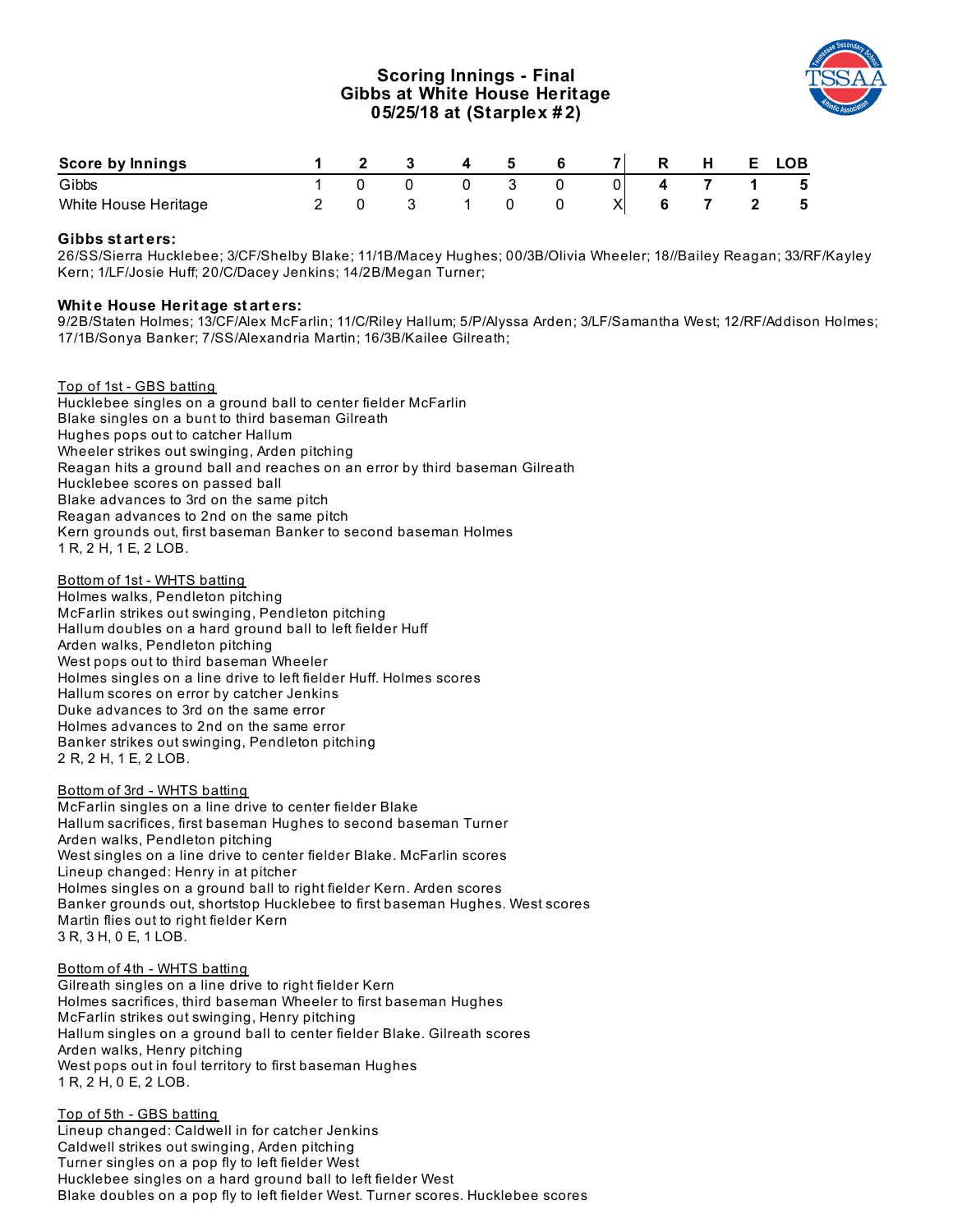# **Scoring Innings - Final Gibbs at White House Heritage 05/25/18 at (Starplex # 2)**



| Score by Innings     |  |  |  | $\overline{\phantom{a}}$ |  | E. | LOB |
|----------------------|--|--|--|--------------------------|--|----|-----|
| Gibbs                |  |  |  |                          |  |    | - 5 |
| White House Heritage |  |  |  | Χl                       |  |    | 5   |

# **Gibbs st art ers:**

26/SS/Sierra Hucklebee; 3/CF/Shelby Blake; 11/1B/Macey Hughes; 00/3B/Olivia Wheeler; 18//Bailey Reagan; 33/RF/Kayley Kern; 1/LF/Josie Huff; 20/C/Dacey Jenkins; 14/2B/Megan Turner;

### **Whit e House Herit age st art ers:**

9/2B/Staten Holmes; 13/CF/Alex McFarlin; 11/C/Riley Hallum; 5/P/Alyssa Arden; 3/LF/Samantha West; 12/RF/Addison Holmes; 17/1B/Sonya Banker; 7/SS/Alexandria Martin; 16/3B/Kailee Gilreath;

#### Top of 1st - GBS batting

Hucklebee singles on a ground ball to center fielder McFarlin Blake singles on a bunt to third baseman Gilreath Hughes pops out to catcher Hallum Wheeler strikes out swinging, Arden pitching Reagan hits a ground ball and reaches on an error by third baseman Gilreath Hucklebee scores on passed ball Blake advances to 3rd on the same pitch Reagan advances to 2nd on the same pitch Kern grounds out, first baseman Banker to second baseman Holmes 1 R, 2 H, 1 E, 2 LOB.

Bottom of 1st - WHTS batting Holmes walks, Pendleton pitching McFarlin strikes out swinging, Pendleton pitching Hallum doubles on a hard ground ball to left fielder Huff Arden walks, Pendleton pitching West pops out to third baseman Wheeler Holmes singles on a line drive to left fielder Huff. Holmes scores Hallum scores on error by catcher Jenkins Duke advances to 3rd on the same error Holmes advances to 2nd on the same error Banker strikes out swinging, Pendleton pitching 2 R, 2 H, 1 E, 2 LOB.

Bottom of 3rd - WHTS batting McFarlin singles on a line drive to center fielder Blake Hallum sacrifices, first baseman Hughes to second baseman Turner Arden walks, Pendleton pitching West singles on a line drive to center fielder Blake. McFarlin scores Lineup changed: Henry in at pitcher Holmes singles on a ground ball to right fielder Kern. Arden scores Banker grounds out, shortstop Hucklebee to first baseman Hughes. West scores Martin flies out to right fielder Kern 3 R, 3 H, 0 E, 1 LOB.

Bottom of 4th - WHTS batting Gilreath singles on a line drive to right fielder Kern Holmes sacrifices, third baseman Wheeler to first baseman Hughes McFarlin strikes out swinging, Henry pitching Hallum singles on a ground ball to center fielder Blake. Gilreath scores Arden walks, Henry pitching West pops out in foul territory to first baseman Hughes 1 R, 2 H, 0 E, 2 LOB.

Top of 5th - GBS batting Lineup changed: Caldwell in for catcher Jenkins Caldwell strikes out swinging, Arden pitching Turner singles on a pop fly to left fielder West Hucklebee singles on a hard ground ball to left fielder West Blake doubles on a pop fly to left fielder West. Turner scores. Hucklebee scores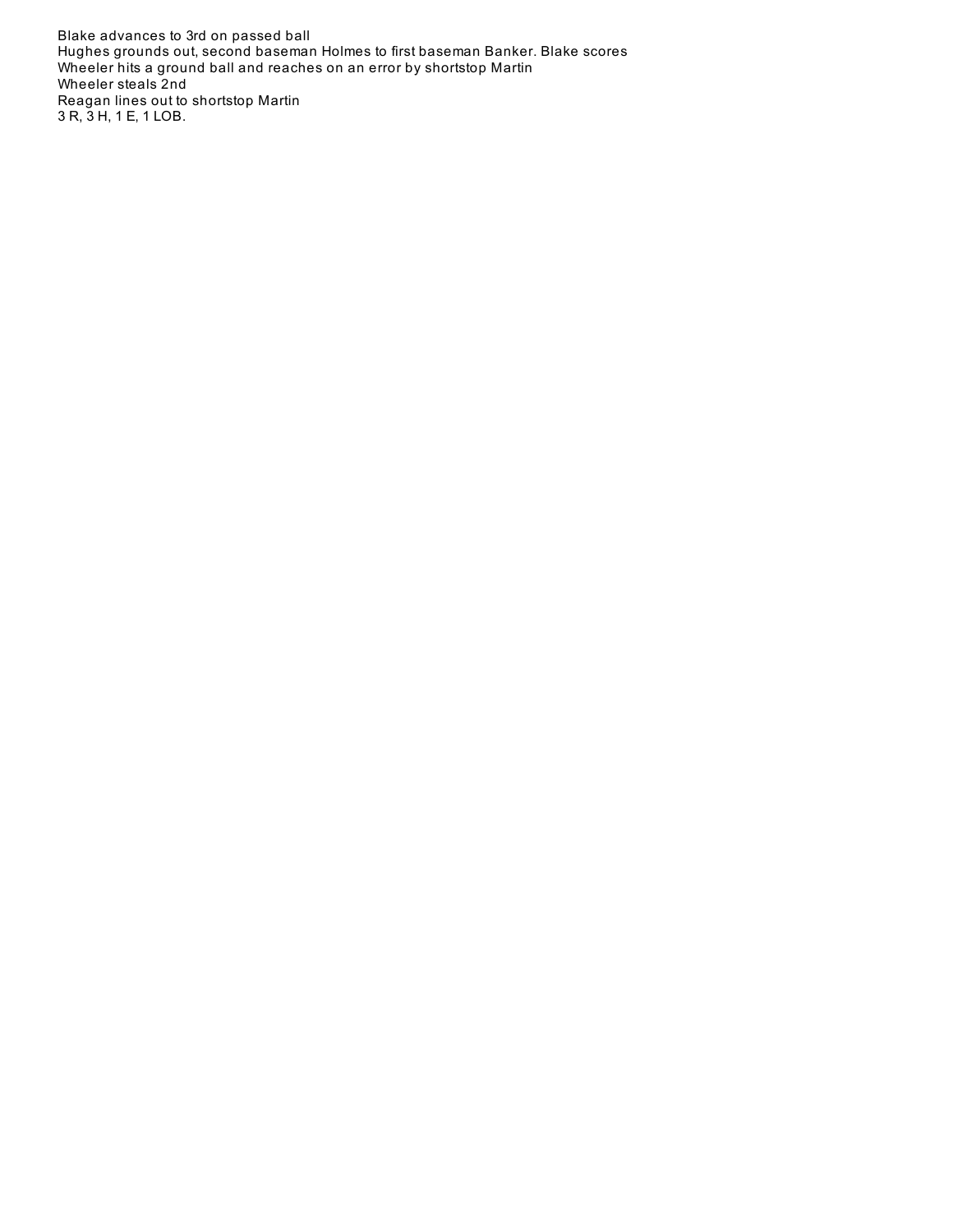Blake advances to 3rd on passed ball Hughes grounds out, second baseman Holmes to first baseman Banker. Blake scores Wheeler hits a ground ball and reaches on an error by shortstop Martin Wheeler steals 2nd Reagan lines out to shortstop Martin 3 R, 3 H, 1 E, 1 LOB.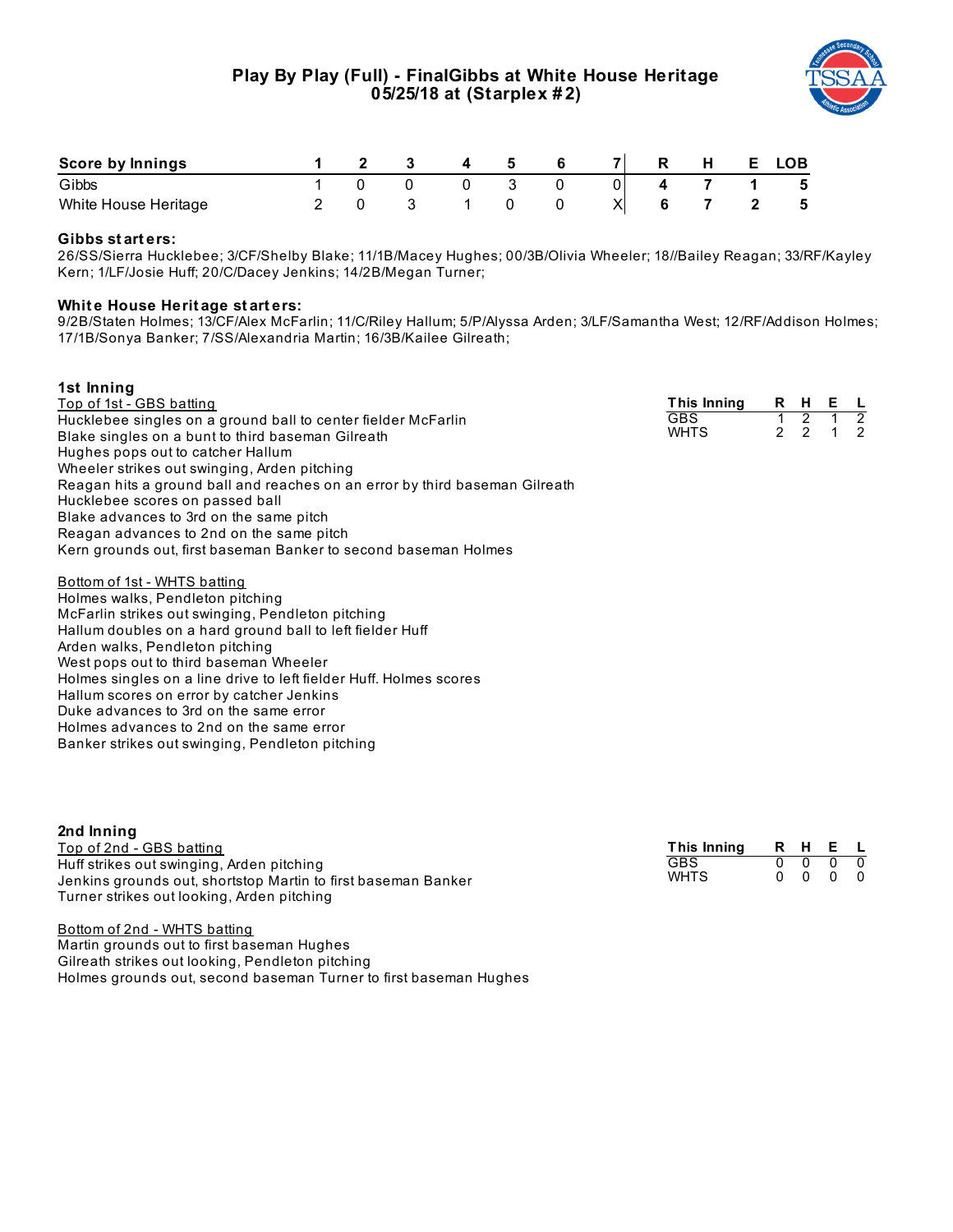

| Score by Innings     |  |  |  | R. | <b>H</b> | E. | LOB |
|----------------------|--|--|--|----|----------|----|-----|
| Gibbs                |  |  |  |    |          |    | - 5 |
| White House Heritage |  |  |  |    |          |    | - 5 |

# **Gibbs st art ers:**

26/SS/Sierra Hucklebee; 3/CF/Shelby Blake; 11/1B/Macey Hughes; 00/3B/Olivia Wheeler; 18//Bailey Reagan; 33/RF/Kayley Kern; 1/LF/Josie Huff; 20/C/Dacey Jenkins; 14/2B/Megan Turner;

## **Whit e House Herit age st art ers:**

9/2B/Staten Holmes; 13/CF/Alex McFarlin; 11/C/Riley Hallum; 5/P/Alyssa Arden; 3/LF/Samantha West; 12/RF/Addison Holmes; 17/1B/Sonya Banker; 7/SS/Alexandria Martin; 16/3B/Kailee Gilreath;

| 1st Inning                                                                  |             |               |                |    |                |
|-----------------------------------------------------------------------------|-------------|---------------|----------------|----|----------------|
| <u>Top of 1st - GBS batting</u>                                             | This Inning |               | R H            | Е. |                |
| Hucklebee singles on a ground ball to center fielder McFarlin               | <b>GBS</b>  |               | $\overline{2}$ |    | $\overline{2}$ |
| Blake singles on a bunt to third baseman Gilreath                           | <b>WHTS</b> | $\mathcal{P}$ | $\mathcal{P}$  |    | $\mathcal{P}$  |
| Hughes pops out to catcher Hallum                                           |             |               |                |    |                |
| Wheeler strikes out swinging, Arden pitching                                |             |               |                |    |                |
| Reagan hits a ground ball and reaches on an error by third baseman Gilreath |             |               |                |    |                |
| Hucklebee scores on passed ball                                             |             |               |                |    |                |
| Blake advances to 3rd on the same pitch                                     |             |               |                |    |                |
| Reagan advances to 2nd on the same pitch                                    |             |               |                |    |                |
| Kern grounds out, first baseman Banker to second baseman Holmes             |             |               |                |    |                |
| Bottom of 1st - WHTS batting                                                |             |               |                |    |                |
| Holmes walks, Pendleton pitching                                            |             |               |                |    |                |
| McFarlin strikes out swinging, Pendleton pitching                           |             |               |                |    |                |
| Hallum doubles on a hard ground ball to left fielder Huff                   |             |               |                |    |                |
| Arden walks, Pendleton pitching                                             |             |               |                |    |                |
| West pops out to third baseman Wheeler                                      |             |               |                |    |                |
| Holmes singles on a line drive to left fielder Huff. Holmes scores          |             |               |                |    |                |
| Hallum scores on error by catcher Jenkins                                   |             |               |                |    |                |
| Duke advances to 3rd on the same error                                      |             |               |                |    |                |
| Holmes advances to 2nd on the same error                                    |             |               |                |    |                |

Banker strikes out swinging, Pendleton pitching

| 2nd Inning                                                                                                                                               |                           |          |        |                          |           |
|----------------------------------------------------------------------------------------------------------------------------------------------------------|---------------------------|----------|--------|--------------------------|-----------|
| Top of 2nd - GBS batting                                                                                                                                 | This Inning               | RHEL     |        |                          |           |
| Huff strikes out swinging, Arden pitching<br>Jenkins grounds out, shortstop Martin to first baseman Banker<br>Turner strikes out looking, Arden pitching | <b>GBS</b><br><b>WHTS</b> | $\Omega$ | $\cap$ | $0\quad 0\quad 0\quad 0$ | $\bigcap$ |

Bottom of 2nd - WHTS batting Martin grounds out to first baseman Hughes Gilreath strikes out looking, Pendleton pitching Holmes grounds out, second baseman Turner to first baseman Hughes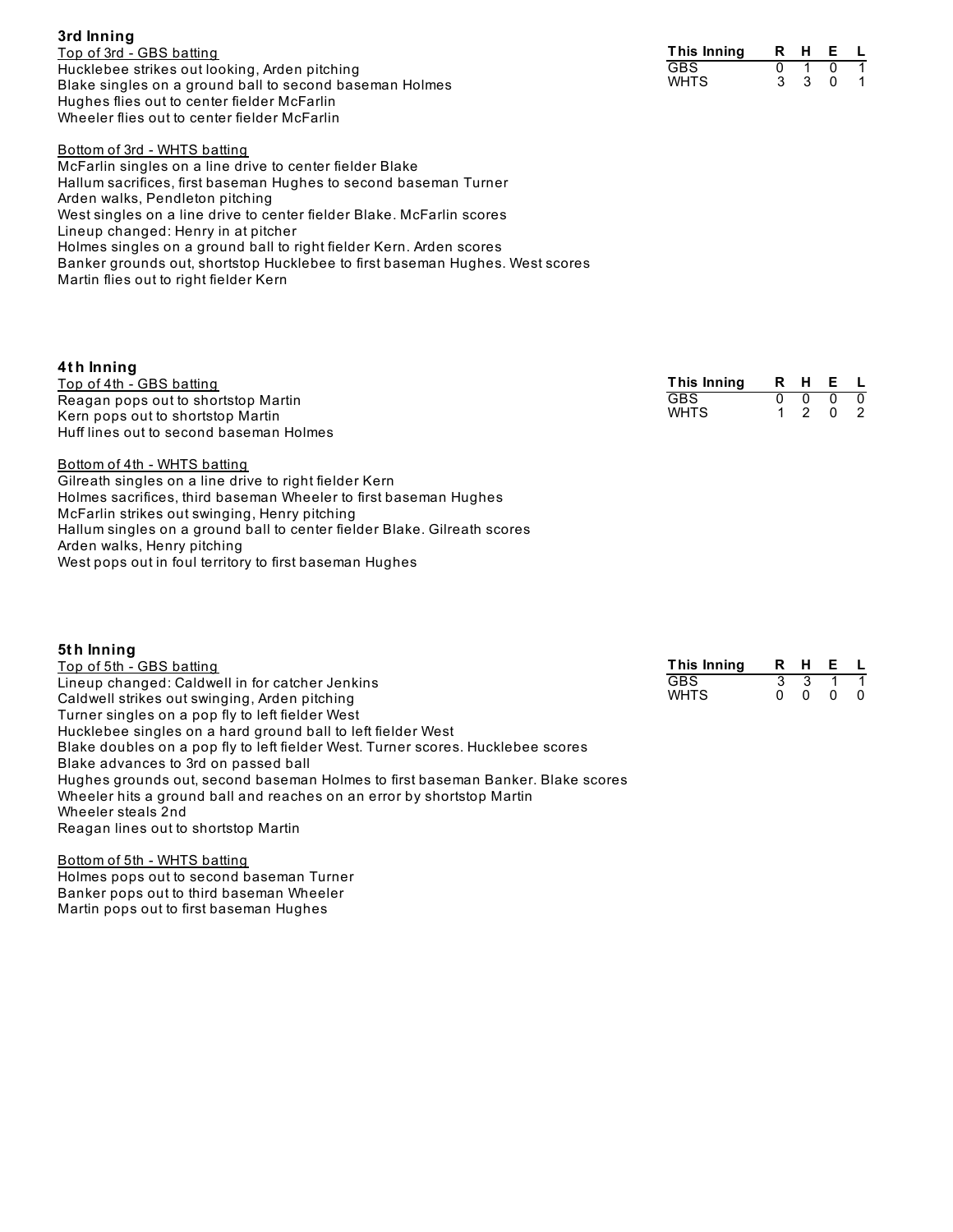| 3rd Inning                                              |
|---------------------------------------------------------|
| Top of 3rd - GBS batting                                |
| Hucklebee strikes out looking, Arden pitching           |
| Blake singles on a ground ball to second baseman Holmes |
| Hughes flies out to center fielder McFarlin             |
| Wheeler flies out to center fielder McFarlin            |

| Bottom of 3rd - WHTS batting                                                 |
|------------------------------------------------------------------------------|
| McFarlin singles on a line drive to center fielder Blake                     |
| Hallum sacrifices, first baseman Hughes to second baseman Turner             |
| Arden walks, Pendleton pitching                                              |
| West singles on a line drive to center fielder Blake. McFarlin scores        |
| Lineup changed: Henry in at pitcher                                          |
| Holmes singles on a ground ball to right fielder Kern. Arden scores          |
| Banker grounds out, shortstop Hucklebee to first baseman Hughes. West scores |
| Martin flies out to right fielder Kern                                       |

| 4th Inning                              |             |      |         |   |
|-----------------------------------------|-------------|------|---------|---|
| Top of 4th - GBS batting                | This Inning | RHEL |         |   |
| Reagan pops out to shortstop Martin     | <b>GBS</b>  |      |         | 0 |
| Kern pops out to shortstop Martin       | <b>WHTS</b> |      | 1 2 0 2 |   |
| Huff lines out to second baseman Holmes |             |      |         |   |
| Bottom of 4th - WHTS batting            |             |      |         |   |

| <b>DULLUI ILI III ILIU DULLIIU</b>                                       |
|--------------------------------------------------------------------------|
| Gilreath singles on a line drive to right fielder Kern                   |
| Holmes sacrifices, third baseman Wheeler to first baseman Hughes         |
| McFarlin strikes out swinging, Henry pitching                            |
| Hallum singles on a ground ball to center fielder Blake. Gilreath scores |
| Arden walks, Henry pitching                                              |
| West pops out in foul territory to first baseman Hughes                  |
|                                                                          |

| 5th Inning                                                                       |             |   |          |     |                |
|----------------------------------------------------------------------------------|-------------|---|----------|-----|----------------|
| Top of 5th - GBS batting                                                         | This Inning |   | R H      | E L |                |
| Lineup changed: Caldwell in for catcher Jenkins                                  | <b>GBS</b>  | 3 | 3        |     |                |
| Caldwell strikes out swinging, Arden pitching                                    | <b>WHTS</b> | 0 | $\Omega$ | 0   | $\overline{0}$ |
| Turner singles on a pop fly to left fielder West                                 |             |   |          |     |                |
| Hucklebee singles on a hard ground ball to left fielder West                     |             |   |          |     |                |
| Blake doubles on a pop fly to left fielder West. Turner scores. Hucklebee scores |             |   |          |     |                |
| Blake advances to 3rd on passed ball                                             |             |   |          |     |                |
| Hughes grounds out, second baseman Holmes to first baseman Banker. Blake scores  |             |   |          |     |                |
| Wheeler hits a ground ball and reaches on an error by shortstop Martin           |             |   |          |     |                |
| Wheeler steals 2nd                                                               |             |   |          |     |                |
| Reagan lines out to shortstop Martin                                             |             |   |          |     |                |
| Bottom of 5th - WHTS batting                                                     |             |   |          |     |                |

Holmes pops out to second baseman Turner Banker pops out to third baseman Wheeler Martin pops out to first baseman Hughes

| This Inning | R | н | F |  |
|-------------|---|---|---|--|
| GBS         |   |   |   |  |
| WHTS        |   |   |   |  |